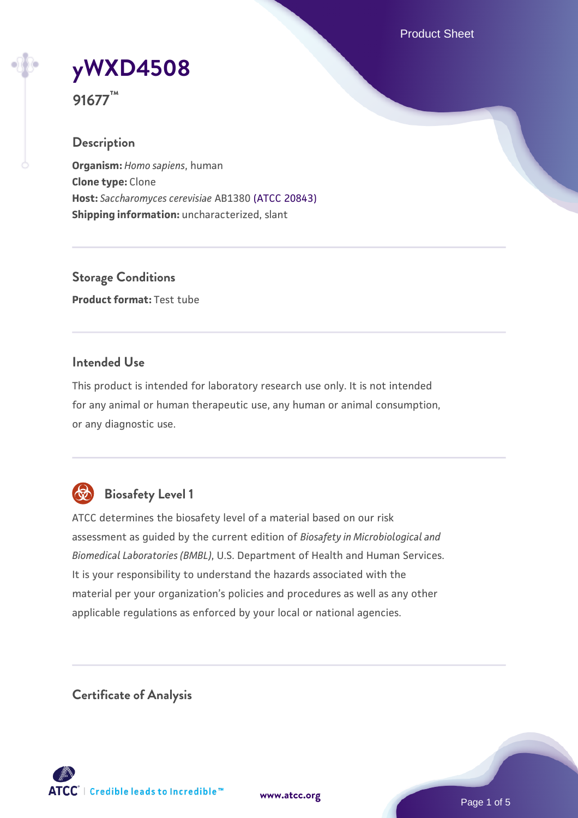Product Sheet



**91677™**

## **Description**

**Organism:** *Homo sapiens*, human **Clone type:** Clone **Host:** *Saccharomyces cerevisiae* AB1380 [\(ATCC 20843\)](https://www.atcc.org/products/20843) **Shipping information:** uncharacterized, slant

**Storage Conditions Product format:** Test tube

## **Intended Use**

This product is intended for laboratory research use only. It is not intended for any animal or human therapeutic use, any human or animal consumption, or any diagnostic use.



## **Biosafety Level 1**

ATCC determines the biosafety level of a material based on our risk assessment as guided by the current edition of *Biosafety in Microbiological and Biomedical Laboratories (BMBL)*, U.S. Department of Health and Human Services. It is your responsibility to understand the hazards associated with the material per your organization's policies and procedures as well as any other applicable regulations as enforced by your local or national agencies.

**Certificate of Analysis**

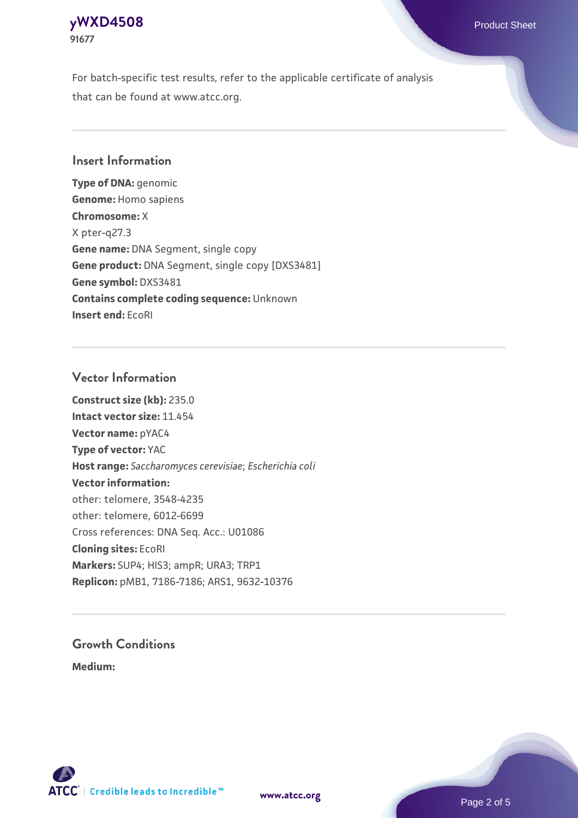## **[yWXD4508](https://www.atcc.org/products/91677)** Product Sheet **91677**

For batch-specific test results, refer to the applicable certificate of analysis that can be found at www.atcc.org.

## **Insert Information**

**Type of DNA:** genomic **Genome:** Homo sapiens **Chromosome:** X X pter-q27.3 **Gene name:** DNA Segment, single copy **Gene product:** DNA Segment, single copy [DXS3481] **Gene symbol:** DXS3481 **Contains complete coding sequence:** Unknown **Insert end:** EcoRI

## **Vector Information**

**Construct size (kb):** 235.0 **Intact vector size:** 11.454 **Vector name:** pYAC4 **Type of vector:** YAC **Host range:** *Saccharomyces cerevisiae*; *Escherichia coli* **Vector information:** other: telomere, 3548-4235 other: telomere, 6012-6699 Cross references: DNA Seq. Acc.: U01086 **Cloning sites:** EcoRI **Markers:** SUP4; HIS3; ampR; URA3; TRP1 **Replicon:** pMB1, 7186-7186; ARS1, 9632-10376

# **Growth Conditions**

**Medium:** 



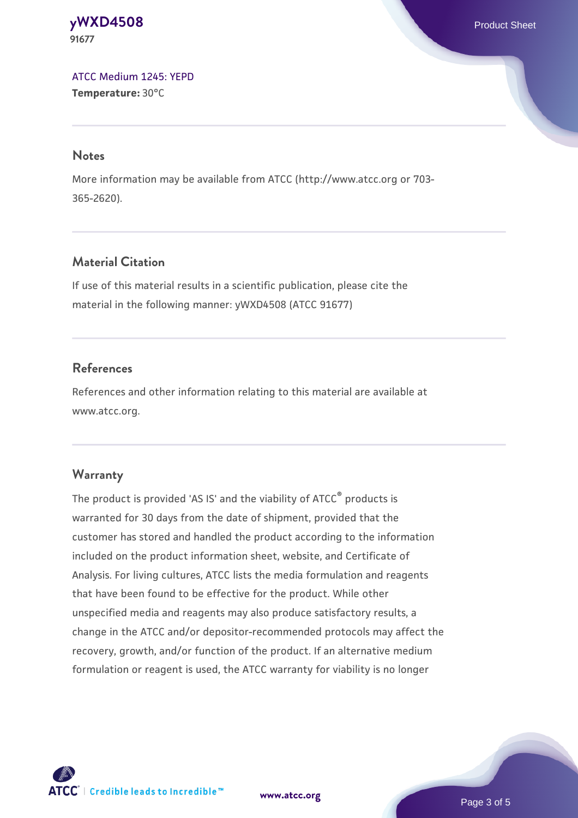#### **[yWXD4508](https://www.atcc.org/products/91677)** Product Sheet **91677**

[ATCC Medium 1245: YEPD](https://www.atcc.org/-/media/product-assets/documents/microbial-media-formulations/1/2/4/5/atcc-medium-1245.pdf?rev=705ca55d1b6f490a808a965d5c072196) **Temperature:** 30°C

#### **Notes**

More information may be available from ATCC (http://www.atcc.org or 703- 365-2620).

## **Material Citation**

If use of this material results in a scientific publication, please cite the material in the following manner: yWXD4508 (ATCC 91677)

## **References**

References and other information relating to this material are available at www.atcc.org.

#### **Warranty**

The product is provided 'AS IS' and the viability of ATCC® products is warranted for 30 days from the date of shipment, provided that the customer has stored and handled the product according to the information included on the product information sheet, website, and Certificate of Analysis. For living cultures, ATCC lists the media formulation and reagents that have been found to be effective for the product. While other unspecified media and reagents may also produce satisfactory results, a change in the ATCC and/or depositor-recommended protocols may affect the recovery, growth, and/or function of the product. If an alternative medium formulation or reagent is used, the ATCC warranty for viability is no longer



**[www.atcc.org](http://www.atcc.org)**

Page 3 of 5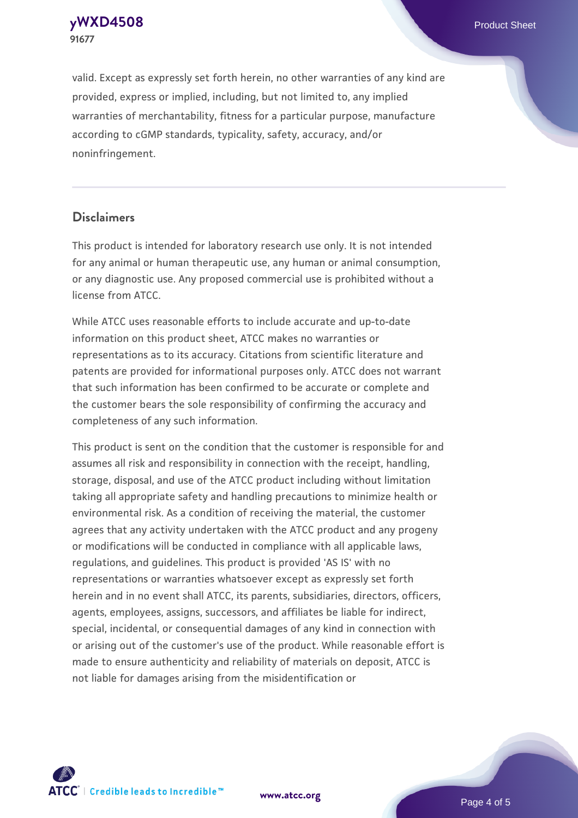**[yWXD4508](https://www.atcc.org/products/91677)** Product Sheet **91677**

valid. Except as expressly set forth herein, no other warranties of any kind are provided, express or implied, including, but not limited to, any implied warranties of merchantability, fitness for a particular purpose, manufacture according to cGMP standards, typicality, safety, accuracy, and/or noninfringement.

#### **Disclaimers**

This product is intended for laboratory research use only. It is not intended for any animal or human therapeutic use, any human or animal consumption, or any diagnostic use. Any proposed commercial use is prohibited without a license from ATCC.

While ATCC uses reasonable efforts to include accurate and up-to-date information on this product sheet, ATCC makes no warranties or representations as to its accuracy. Citations from scientific literature and patents are provided for informational purposes only. ATCC does not warrant that such information has been confirmed to be accurate or complete and the customer bears the sole responsibility of confirming the accuracy and completeness of any such information.

This product is sent on the condition that the customer is responsible for and assumes all risk and responsibility in connection with the receipt, handling, storage, disposal, and use of the ATCC product including without limitation taking all appropriate safety and handling precautions to minimize health or environmental risk. As a condition of receiving the material, the customer agrees that any activity undertaken with the ATCC product and any progeny or modifications will be conducted in compliance with all applicable laws, regulations, and guidelines. This product is provided 'AS IS' with no representations or warranties whatsoever except as expressly set forth herein and in no event shall ATCC, its parents, subsidiaries, directors, officers, agents, employees, assigns, successors, and affiliates be liable for indirect, special, incidental, or consequential damages of any kind in connection with or arising out of the customer's use of the product. While reasonable effort is made to ensure authenticity and reliability of materials on deposit, ATCC is not liable for damages arising from the misidentification or



**[www.atcc.org](http://www.atcc.org)**

Page 4 of 5